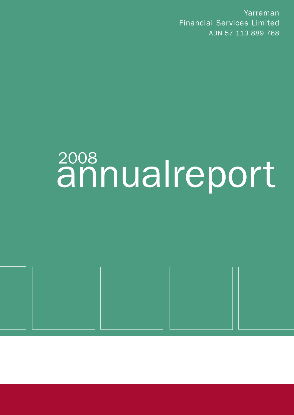Yarraman Financial Services Limited ABN 57 113 889 768

# annualreport

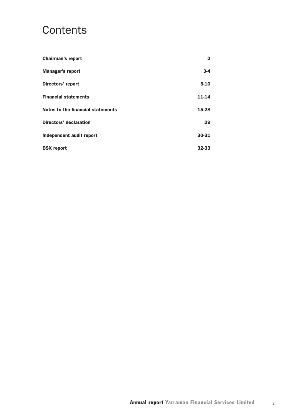# **Contents**

| <b>Chairman's report</b>          | $\mathbf{2}$ |  |
|-----------------------------------|--------------|--|
| <b>Manager's report</b>           | $3-4$        |  |
| Directors' report                 | $5-10$       |  |
| <b>Financial statements</b>       | $11 - 14$    |  |
| Notes to the financial statements | 15-28        |  |
| Directors' declaration            | 29           |  |
| Independent audit report          | 30-31        |  |
| <b>BSX</b> report                 | 32-33        |  |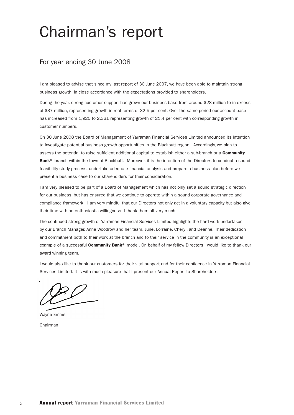# Chairman's report

## For year ending 30 June 2008

I am pleased to advise that since my last report of 30 June 2007, we have been able to maintain strong business growth, in close accordance with the expectations provided to shareholders.

During the year, strong customer support has grown our business base from around \$28 million to in excess of \$37 million, representing growth in real terms of 32.5 per cent. Over the same period our account base has increased from 1,920 to 2,331 representing growth of 21.4 per cent with corresponding growth in customer numbers.

On 30 June 2008 the Board of Management of Yarraman Financial Services Limited announced its intention to investigate potential business growth opportunities in the Blackbutt region. Accordingly, we plan to assess the potential to raise sufficient additional capital to establish either a sub-branch or a Community Bank<sup>®</sup> branch within the town of Blackbutt. Moreover, it is the intention of the Directors to conduct a sound feasibility study process, undertake adequate financial analysis and prepare a business plan before we present a business case to our shareholders for their consideration.

I am very pleased to be part of a Board of Management which has not only set a sound strategic direction for our business, but has ensured that we continue to operate within a sound corporate governance and compliance framework. I am very mindful that our Directors not only act in a voluntary capacity but also give their time with an enthusiastic willingness. I thank them all very much.

The continued strong growth of Yarraman Financial Services Limited highlights the hard work undertaken by our Branch Manager, Anne Woodrow and her team, June, Lorraine, Cheryl, and Deanne. Their dedication and commitment both to their work at the branch and to their service in the community is an exceptional example of a successful *Community Bank®* model. On behalf of my fellow Directors I would like to thank our award winning team.

I would also like to thank our customers for their vital support and for their confidence in Yarraman Financial Services Limited. It is with much pleasure that I present our Annual Report to Shareholders.

Wayne Emms

Chairman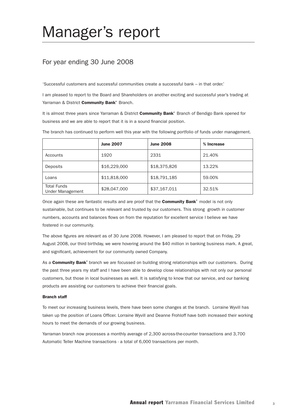# Manager's report

# For year ending 30 June 2008

'Successful customers and successful communities create a successful bank – in that order.'

I am pleased to report to the Board and Shareholders on another exciting and successful year's trading at Yarraman & District Community Bank® Branch.

It is almost three years since Yarraman & District Community Bank® Branch of Bendigo Bank opened for business and we are able to report that it is in a sound financial position.

The branch has continued to perform well this year with the following portfolio of funds under management.

|                                               | <b>June 2007</b> | <b>June 2008</b> | % Increase |
|-----------------------------------------------|------------------|------------------|------------|
| Accounts                                      | 1920             | 2331             | 21.40%     |
| Deposits                                      | \$16,229,000     | \$18,375,826     | 13.22%     |
| Loans                                         | \$11,818,000     | \$18,791,185     | 59.00%     |
| <b>Total Funds</b><br><b>Under Management</b> | \$28,047,000     | \$37,167,011     | 32.51%     |

Once again these are fantastic results and are proof that the **Community Bank**® model is not only sustainable, but continues to be relevant and trusted by our customers. This strong growth in customer numbers, accounts and balances flows on from the reputation for excellent service I believe we have fostered in our community.

The above figures are relevant as of 30 June 2008. However, I am pleased to report that on Friday, 29 August 2008, our third birthday, we were hovering around the \$40 million in banking business mark. A great, and significant, achievement for our community owned Company.

As a **Community Bank**® branch we are focussed on building strong relationships with our customers. During the past three years my staff and I have been able to develop close relationships with not only our personal customers, but those in local businesses as well. It is satisfying to know that our service, and our banking products are assisting our customers to achieve their financial goals.

#### Branch staff

To meet our increasing business levels, there have been some changes at the branch. Lorraine Wyvill has taken up the position of Loans Officer. Lorraine Wyvill and Deanne Frohloff have both increased their working hours to meet the demands of our growing business.

Yarraman branch now processes a monthly average of 2,300 across-the-counter transactions and 3,700 Automatic Teller Machine transactions - a total of 6,000 transactions per month.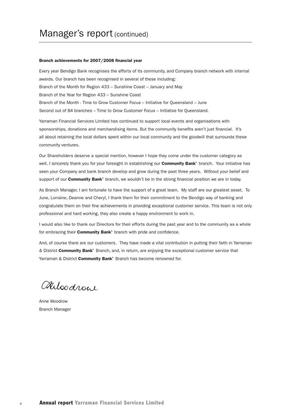#### Branch achievements for 2007/2008 financial year

Every year Bendigo Bank recognises the efforts of its community, and Company branch network with internal awards. Our branch has been recognised in several of these including: Branch of the Month for Region 433 – Sunshine Coast – January and May Branch of the Year for Region 433 – Sunshine Coast Branch of the Month - Time to Grow Customer Focus – Initiative for Queensland – June Second out of 84 branches – Time to Grow Customer Focus – Initiative for Queensland.

Yarraman Financial Services Limited has continued to support local events and organisations with sponsorships, donations and merchandising items. But the community benefits aren't just financial. It's all about retaining the local dollars spent within our local community and the goodwill that surrounds these community ventures.

Our Shareholders deserve a special mention, however I hope they come under the customer category as well. I sincerely thank you for your foresight in establishing our Community Bank® branch. Your initiative has seen your Company and bank branch develop and grow during the past three years. Without your belief and support of our **Community Bank**® branch, we wouldn't be in the strong financial position we are in today.

As Branch Manager, I am fortunate to have the support of a great team. My staff are our greatest asset. To June, Lorraine, Deanne and Cheryl, I thank them for their commitment to the Bendigo way of banking and congratulate them on their fine achievements in providing exceptional customer service. This team is not only professional and hard working, they also create a happy environment to work in.

I would also like to thank our Directors for their efforts during the past year and to the community as a whole for embracing their **Community Bank**® branch with pride and confidence.

And, of course there are our customers. They have made a vital contribution in putting their faith in Yarraman & District Community Bank® Branch, and, in return, are enjoying the exceptional customer service that Yarraman & District Community Bank® Branch has become renowned for.

Alloodrone

Anne Woodrow Branch Manager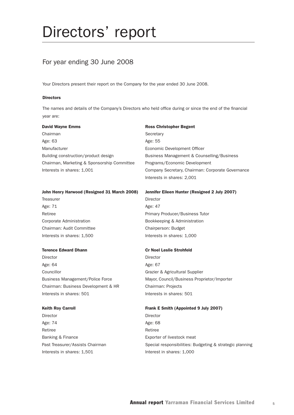# Directors' report

# For year ending 30 June 2008

Your Directors present their report on the Company for the year ended 30 June 2008.

#### **Directors**

The names and details of the Company's Directors who held office during or since the end of the financial year are:

| <b>David Wayne Emms</b>                     | <b>Ross Christopher Begent</b>                           |
|---------------------------------------------|----------------------------------------------------------|
| Chairman                                    | Secretary                                                |
| Age: 63                                     | Age: 55                                                  |
| Manufacturer                                | Economic Development Officer                             |
| Building construction/product design        | Business Management & Counselling/Business               |
| Chairman, Marketing & Sponsorship Committee | Programs/Economic Development                            |
| Interests in shares: 1,001                  | Company Secretary, Chairman: Corporate Governance        |
|                                             | Interests in shares: 2,001                               |
| John Henry Harwood (Resigned 31 March 2008) | Jennifer Eileen Hunter (Resigned 2 July 2007)            |
| Treasurer                                   | Director                                                 |
| Age: 71                                     | Age: 47                                                  |
| Retiree                                     | Primary Producer/Business Tutor                          |
| Corporate Administration                    | Bookkeeping & Administration                             |
| <b>Chairman: Audit Committee</b>            | Chairperson: Budget                                      |
| Interests in shares: 1,500                  | Interests in shares: 1,000                               |
| <b>Terence Edward Dhann</b>                 | <b>Cr Noel Leslie Strohfeld</b>                          |
| Director                                    | <b>Director</b>                                          |
| Age: 64                                     | Age: 67                                                  |
| Councillor                                  | Grazier & Agricultural Supplier                          |
| <b>Business Management/Police Force</b>     | Mayor, Council/Business Proprietor/Importer              |
| Chairman: Business Development & HR         | Chairman: Projects                                       |
| Interests in shares: 501                    | Interests in shares: 501                                 |
| <b>Keith Roy Carroll</b>                    | Frank E Smith (Appointed 9 July 2007)                    |
| Director                                    | Director                                                 |
| Age: 74                                     | Age: 68                                                  |
| Retiree                                     | Retiree                                                  |
| Banking & Finance                           | Exporter of livestock meat                               |
| Past Treasurer/Assists Chairman             | Special responsibilities: Budgeting & strategic planning |
| Interests in shares: 1,501                  | Interest in shares: 1,000                                |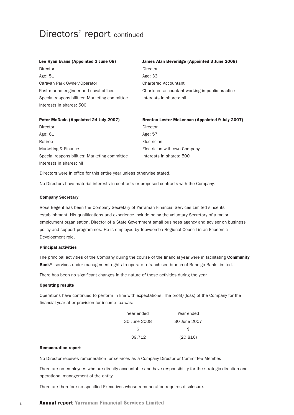| Lee Ryan Evans (Appointed 3 June 08)          | James Alan Beveridge (Appointed 3 June 2008)           |
|-----------------------------------------------|--------------------------------------------------------|
| Director                                      | <b>Director</b>                                        |
| Age: 51                                       | Age: 33                                                |
| Caravan Park Owner/Operator                   | <b>Chartered Accountant</b>                            |
| Past marine engineer and naval officer.       | Chartered accountant working in public practice        |
| Special responsibilities: Marketing committee | Interests in shares: nil                               |
| Interests in shares: 500                      |                                                        |
| Peter McDade (Appointed 24 July 2007)         | <b>Brenton Lester McLennan (Appointed 9 July 2007)</b> |
| Director                                      | <b>Director</b>                                        |
| Age: 61                                       | Age: 57                                                |

Retiree Electrician Marketing & Finance **Electrician with own Company** Special responsibilities: Marketing committee Interests in shares: 500 Interests in shares: nil

Directors were in office for this entire year unless otherwise stated.

No Directors have material interests in contracts or proposed contracts with the Company.

#### Company Secretary

Ross Begent has been the Company Secretary of Yarraman Financial Services Limited since its establishment. His qualifications and experience include being the voluntary Secretary of a major employment organisation, Director of a State Government small business agency and adviser on business policy and support programmes. He is employed by Toowoomba Regional Council in an Economic Development role.

#### Principal activities

The principal activities of the Company during the course of the financial year were in facilitating Community Bank<sup>®</sup> services under management rights to operate a franchised branch of Bendigo Bank Limited.

There has been no significant changes in the nature of these activities during the year.

#### Operating results

Operations have continued to perform in line with expectations. The profit/(loss) of the Company for the financial year after provision for income tax was:

| Year ended   | Year ended   |
|--------------|--------------|
| 30 June 2008 | 30 June 2007 |
| £.           | \$.          |
| 39.712       | (20, 816)    |

#### Remuneration report

No Director receives remuneration for services as a Company Director or Committee Member.

There are no employees who are directly accountable and have responsibility for the strategic direction and operational management of the entity.

There are therefore no specified Executives whose remuneration requires disclosure.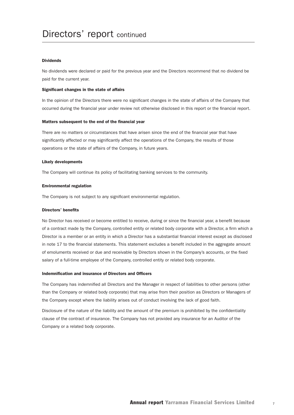#### **Dividends**

No dividends were declared or paid for the previous year and the Directors recommend that no dividend be paid for the current year.

#### Significant changes in the state of affairs

In the opinion of the Directors there were no significant changes in the state of affairs of the Company that occurred during the financial year under review not otherwise disclosed in this report or the financial report.

#### Matters subsequent to the end of the financial year

There are no matters or circumstances that have arisen since the end of the financial year that have significantly affected or may significantly affect the operations of the Company, the results of those operations or the state of affairs of the Company, in future years.

#### Likely developments

The Company will continue its policy of facilitating banking services to the community.

#### Environmental regulation

The Company is not subject to any significant environmental regulation.

#### Directors' benefits

No Director has received or become entitled to receive, during or since the financial year, a benefit because of a contract made by the Company, controlled entity or related body corporate with a Director, a firm which a Director is a member or an entity in which a Director has a substantial financial interest except as disclosed in note 17 to the financial statements. This statement excludes a benefit included in the aggregate amount of emoluments received or due and receivable by Directors shown in the Company's accounts, or the fixed salary of a full-time employee of the Company, controlled entity or related body corporate.

#### Indemnification and insurance of Directors and Officers

The Company has indemnified all Directors and the Manager in respect of liabilities to other persons (other than the Company or related body corporate) that may arise from their position as Directors or Managers of the Company except where the liability arises out of conduct involving the lack of good faith.

Disclosure of the nature of the liability and the amount of the premium is prohibited by the confidentiality clause of the contract of insurance. The Company has not provided any insurance for an Auditor of the Company or a related body corporate.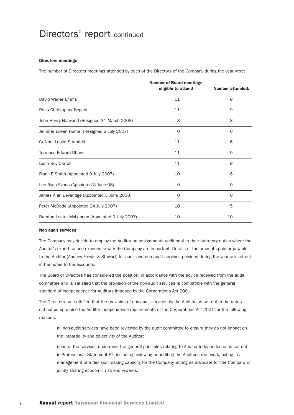#### Directors meetings

The number of Directors meetings attended by each of the Directors of the Company during the year were:

|                                                 | <b>Number of Board meetings</b><br>eligible to attend | <b>Number attended:</b> |
|-------------------------------------------------|-------------------------------------------------------|-------------------------|
| David Wayne Emms                                | 11                                                    | 8                       |
| Ross Christopher Begent                         | 11                                                    | 9                       |
| John Henry Harwood (Resigned 31 March 2008)     | 8                                                     | 8                       |
| Jennifer Eileen Hunter (Resigned 2 July 2007)   | $\Omega$                                              | $\Omega$                |
| Cr Noel Leslie Strohfeld                        | 11                                                    | 6                       |
| <b>Terrence Edward Dhann</b>                    | 11                                                    | 9                       |
| Keith Roy Carroll                               | 11                                                    | 9                       |
| Frank E Smith (Appointed 9 July 2007)           | 10                                                    | 8                       |
| Lee Ryan Evans (Appointed 3 June 08)            | $\Omega$                                              | $\Omega$                |
| James Alan Beveridge (Appointed 3 June 2008)    | $\Omega$                                              | $\Omega$                |
| Peter McDade (Appointed 24 July 2007)           | 10                                                    | 5                       |
| Brenton Lester McLennan (Appointed 9 July 2007) | 10                                                    | 10                      |

#### Non audit services

The Company may decide to employ the Auditor on assignments additional to their statutory duties where the Auditor's expertise and experience with the Company are important. Details of the amounts paid or payable to the Auditor (Andrew Frewin & Stewart) for audit and non audit services provided during the year are set out in the notes to the accounts.

The Board of Directors has considered the position, in accordance with the advice received from the audit committee and is satisfied that the provision of the non-audit services is compatible with the general standard of independence for Auditors imposed by the Corporations Act 2001.

The Directors are satisfied that the provision of non-audit services by the Auditor, as set out in the notes did not compromise the Auditor independence requirements of the Corporations Act 2001 for the following reasons:

all non-audit services have been reviewed by the audit committee to ensure they do not impact on the impartiality and objectivity of the Auditor;

none of the services undermine the general principles relating to Auditor independence as set out in Professional Statement F1, including reviewing or auditing the Auditor's own work, acting in a management or a decision-making capacity for the Company, acting as advocate for the Company or jointly sharing economic risk and rewards.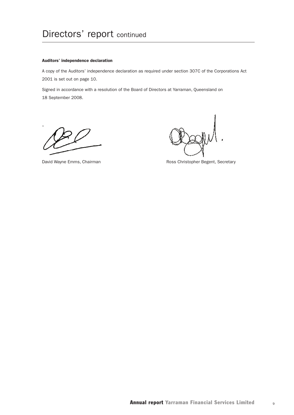#### Auditors' independence declaration

A copy of the Auditors' independence declaration as required under section 307C of the Corporations Act 2001 is set out on page 10.

Signed in accordance with a resolution of the Board of Directors at Yarraman, Queensland on 18 September 2008.

David Wayne Emms, Chairman **Ross Christopher Begent, Secretary** Ross Christopher Begent, Secretary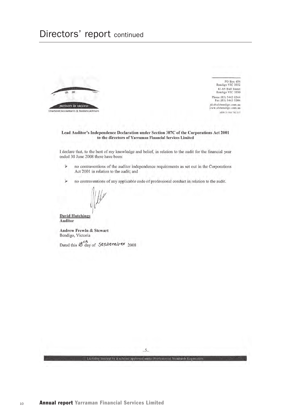# Directors' report continued



PO Box 454<br>Bendigo VIC 3552 61-65 Bull Street<br>Bendigo VIC 3550 Phone (03) 5443 0344<br>Fax (03) 5443 5304 afs@afsbendigo.com.au www.afsbendigo.com.au ABN \$1.061.795.337

#### Lead Auditor's Independence Declaration under Section 307C of the Corporations Act 2001 to the directors of Yarraman Financial Services Limited

I declare that, to the best of my knowledge and belief, in relation to the audit for the financial year ended 30 June 2008 there have been:

- $\ddot{\,}$ no contraventions of the auditor independence requirements as set out in the Corporations Act 2001 in relation to the audit; and
- $\frac{1}{2}$ no contraventions of any applicable code of professional conduct in relation to the audit.

 $...5...$ Liability limited by a scheme approved under Professional Standards Legislation

**David Hutchings Auditor** 

Andrew Frewin & Stewart Bendigo, Victoria

Dated this 18<sup>th</sup> day of Sentember 2008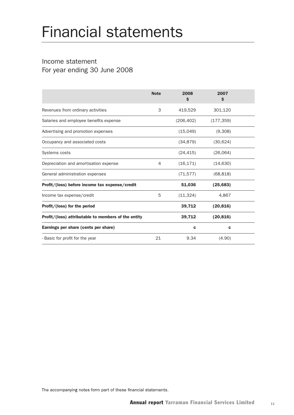# Financial statements

# Income statement For year ending 30 June 2008

|                                                     | <b>Note</b> | 2008<br>S  | 2007<br>\$ |  |
|-----------------------------------------------------|-------------|------------|------------|--|
| Revenues from ordinary activities                   | 3           | 419,529    | 301,120    |  |
| Salaries and employee benefits expense              |             | (206, 402) | (177, 359) |  |
| Advertising and promotion expenses                  |             | (15,049)   | (9,308)    |  |
| Occupancy and associated costs                      |             | (34, 879)  | (30,624)   |  |
| Systems costs                                       |             | (24, 415)  | (26,064)   |  |
| Depreciation and amortisation expense               | 4           | (16, 171)  | (14, 630)  |  |
| General administration expenses                     |             | (71, 577)  | (68, 818)  |  |
| Profit/(loss) before income tax expense/credit      |             | 51,036     | (25, 683)  |  |
| Income tax expense/credit                           | 5           | (11, 324)  | 4,867      |  |
| Profit/(loss) for the period                        |             | 39,712     | (20, 816)  |  |
| Profit/(loss) attributable to members of the entity |             | 39,712     | (20, 816)  |  |
| Earnings per share (cents per share)                |             | c          | c          |  |
| - Basic for profit for the year                     | 21          | 9.34       | (4.90)     |  |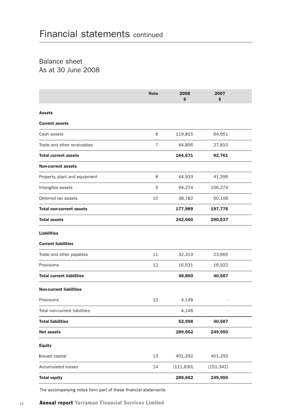Balance sheet As at 30 June 2008

|                                  | <b>Note</b>    | 2008<br>\$ | 2007<br>\$ |  |
|----------------------------------|----------------|------------|------------|--|
| <b>Assets</b>                    |                |            |            |  |
| <b>Current assets</b>            |                |            |            |  |
| Cash assets                      | 6              | 119,815    | 64,951     |  |
| Trade and other receivables      | $\overline{7}$ | 44,856     | 27,810     |  |
| <b>Total current assets</b>      |                | 164,671    | 92,761     |  |
| <b>Non-current assets</b>        |                |            |            |  |
| Property, plant and equipment    | 8              | 44,933     | 41,396     |  |
| Intangible assets                | 9              | 94,274     | 106,274    |  |
| Deferred tax assets              | 10             | 38,782     | 50,106     |  |
| <b>Total non-current assets</b>  |                | 177,989    | 197,776    |  |
| <b>Total assets</b>              |                | 342,660    | 290,537    |  |
| <b>Liabilities</b>               |                |            |            |  |
| <b>Current liabilities</b>       |                |            |            |  |
| Trade and other payables         | 11             | 32,319     | 23,665     |  |
| Provisions                       | 12             | 16,531     | 16,922     |  |
| <b>Total current liabilities</b> |                | 48,850     | 40,587     |  |
| <b>Non-current liabilities</b>   |                |            |            |  |
| Provisions                       | 12             | 4,148      |            |  |
| Total non-current liabilities    |                | 4,148      |            |  |
| <b>Total liabilities</b>         |                | 52,998     | 40,587     |  |
| <b>Net assets</b>                |                | 289,662    | 249,950    |  |
| <b>Equity</b>                    |                |            |            |  |
| <b>Issued capital</b>            | 13             | 401,292    | 401,292    |  |
| <b>Accumulated losses</b>        | 14             | (111, 630) | (151, 342) |  |
| <b>Total equity</b>              |                | 289,662    | 249,950    |  |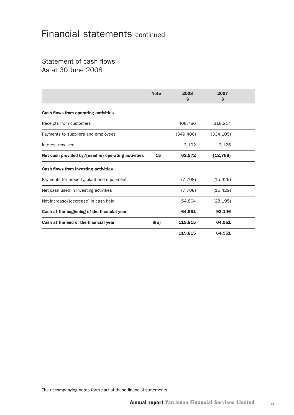# Statement of cash flows As at 30 June 2008

|                                                     | <b>Note</b> | 2008<br>\$ | 2007<br>\$ |  |
|-----------------------------------------------------|-------------|------------|------------|--|
| <b>Cash flows from operating activities</b>         |             |            |            |  |
| Receipts from customers                             |             | 408,786    | 318,214    |  |
| Payments to suppliers and employees                 |             | (349, 406) | (334, 105) |  |
| Interest received                                   |             | 3,192      | 3,125      |  |
| Net cash provided by/(used in) operating activities | 15          | 62,572     | (12, 766)  |  |
| <b>Cash flows from investing activities</b>         |             |            |            |  |
| Payments for property, plant and equipment          |             | (7,708)    | (15, 429)  |  |
| Net cash used in investing activities               |             | (7,708)    | (15, 429)  |  |
| Net increase/(decrease) in cash held                |             | 54,864     | (28, 195)  |  |
| Cash at the beginning of the financial year         |             | 64,951     | 93,146     |  |
| Cash at the end of the financial year               | 6(a)        | 119,815    | 64,951     |  |
|                                                     |             | 119,815    | 64,951     |  |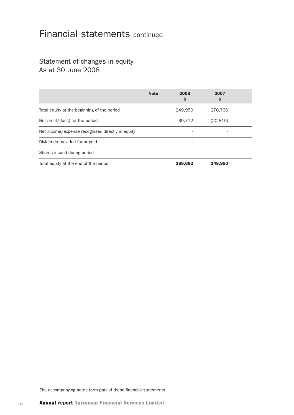# Statement of changes in equity As at 30 June 2008

|                                                  | <b>Note</b> | 2008<br>Ş | 2007<br>\$ |  |
|--------------------------------------------------|-------------|-----------|------------|--|
| Total equity at the beginning of the period      |             | 249.950   | 270.766    |  |
| Net profit/(loss) for the period                 |             | 39,712    | (20, 816)  |  |
| Net income/expense recognised directly in equity |             |           |            |  |
| Dividends provided for or paid                   |             |           |            |  |
| Shares issued during period                      |             |           |            |  |
| Total equity at the end of the period            |             | 289,662   | 249,950    |  |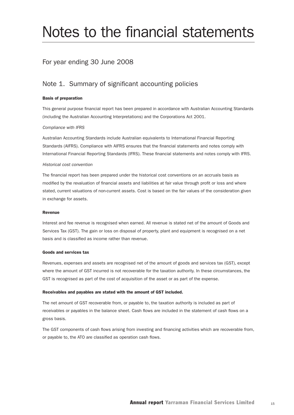# Notes to the financial statements

# For year ending 30 June 2008

## Note 1. Summary of significant accounting policies

#### Basis of preparation

This general purpose financial report has been prepared in accordance with Australian Accounting Standards (including the Australian Accounting Interpretations) and the Corporations Act 2001.

#### Compliance with IFRS

Australian Accounting Standards include Australian equivalents to International Financial Reporting Standards (AIFRS). Compliance with AIFRS ensures that the financial statements and notes comply with International Financial Reporting Standards (IFRS). These financial statements and notes comply with IFRS.

#### Historical cost convention

The financial report has been prepared under the historical cost conventions on an accruals basis as modified by the revaluation of financial assets and liabilities at fair value through profit or loss and where stated, current valuations of non-current assets. Cost is based on the fair values of the consideration given in exchange for assets.

#### Revenue

Interest and fee revenue is recognised when earned. All revenue is stated net of the amount of Goods and Services Tax (GST). The gain or loss on disposal of property, plant and equipment is recognised on a net basis and is classified as income rather than revenue.

#### Goods and services tax

Revenues, expenses and assets are recognised net of the amount of goods and services tax (GST), except where the amount of GST incurred is not recoverable for the taxation authority. In these circumstances, the GST is recognised as part of the cost of acquisition of the asset or as part of the expense.

#### Receivables and payables are stated with the amount of GST included.

The net amount of GST recoverable from, or payable to, the taxation authority is included as part of receivables or payables in the balance sheet. Cash flows are included in the statement of cash flows on a gross basis.

The GST components of cash flows arising from investing and financing activities which are recoverable from, or payable to, the ATO are classified as operation cash flows.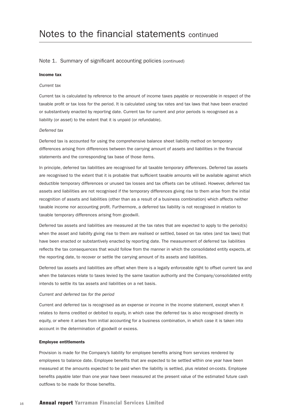#### Income tax

#### Current tax

Current tax is calculated by reference to the amount of income taxes payable or recoverable in respect of the taxable profit or tax loss for the period. It is calculated using tax rates and tax laws that have been enacted or substantively enacted by reporting date. Current tax for current and prior periods is recognised as a liability (or asset) to the extent that it is unpaid (or refundable).

#### Deferred tax

Deferred tax is accounted for using the comprehensive balance sheet liability method on temporary differences arising from differences between the carrying amount of assets and liabilities in the financial statements and the corresponding tax base of those items.

In principle, deferred tax liabilities are recognised for all taxable temporary differences. Deferred tax assets are recognised to the extent that it is probable that sufficient taxable amounts will be available against which deductible temporary differences or unused tax losses and tax offsets can be utilised. However, deferred tax assets and liabilities are not recognised if the temporary differences giving rise to them arise from the initial recognition of assets and liabilities (other than as a result of a business combination) which affects neither taxable income nor accounting profit. Furthermore, a deferred tax liability is not recognised in relation to taxable temporary differences arising from goodwill.

Deferred tax assets and liabilities are measured at the tax rates that are expected to apply to the period(s) when the asset and liability giving rise to them are realised or settled, based on tax rates (and tax laws) that have been enacted or substantively enacted by reporting date. The measurement of deferred tax liabilities reflects the tax consequences that would follow from the manner in which the consolidated entity expects, at the reporting date, to recover or settle the carrying amount of its assets and liabilities.

Deferred tax assets and liabilities are offset when there is a legally enforceable right to offset current tax and when the balances relate to taxes levied by the same taxation authority and the Company/consolidated entity intends to settle its tax assets and liabilities on a net basis.

#### Current and deferred tax for the period

Current and deferred tax is recognised as an expense or income in the income statement, except when it relates to items credited or debited to equity, in which case the deferred tax is also recognised directly in equity, or where it arises from initial accounting for a business combination, in which case it is taken into account in the determination of goodwill or excess.

#### Employee entitlements

Provision is made for the Company's liability for employee benefits arising from services rendered by employees to balance date. Employee benefits that are expected to be settled within one year have been measured at the amounts expected to be paid when the liability is settled, plus related on-costs. Employee benefits payable later than one year have been measured at the present value of the estimated future cash outflows to be made for those benefits.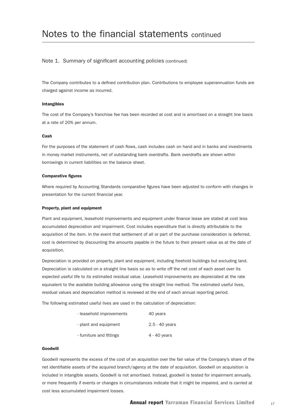The Company contributes to a defined contribution plan. Contributions to employee superannuation funds are charged against income as incurred.

#### Intangibles

The cost of the Company's franchise fee has been recorded at cost and is amortised on a straight line basis at a rate of 20% per annum.

#### Cash

For the purposes of the statement of cash flows, cash includes cash on hand and in banks and investments in money market instruments, net of outstanding bank overdrafts. Bank overdrafts are shown within borrowings in current liabilities on the balance sheet.

#### Comparative figures

Where required by Accounting Standards comparative figures have been adjusted to conform with changes in presentation for the current financial year.

#### Property, plant and equipment

Plant and equipment, leasehold improvements and equipment under finance lease are stated at cost less accumulated depreciation and impairment. Cost includes expenditure that is directly attributable to the acquisition of the item. In the event that settlement of all or part of the purchase consideration is deferred, cost is determined by discounting the amounts payable in the future to their present value as at the date of acquisition.

Depreciation is provided on property, plant and equipment, including freehold buildings but excluding land. Depreciation is calculated on a straight line basis so as to write off the net cost of each asset over its expected useful life to its estimated residual value. Leasehold improvements are depreciated at the rate equivalent to the available building allowance using the straight line method. The estimated useful lives, residual values and depreciation method is reviewed at the end of each annual reporting period.

The following estimated useful lives are used in the calculation of depreciation:

| - leasehold improvements | 40 years         |
|--------------------------|------------------|
| - plant and equipment    | $2.5 - 40$ years |
| - furniture and fittings | 4 - 40 years     |

#### Goodwill

Goodwill represents the excess of the cost of an acquisition over the fair value of the Company's share of the net identifiable assets of the acquired branch/agency at the date of acquisition. Goodwill on acquisition is included in intangible assets. Goodwill is not amortised. Instead, goodwill is tested for impairment annually, or more frequently if events or changes in circumstances indicate that it might be impaired, and is carried at cost less accumulated impairment losses.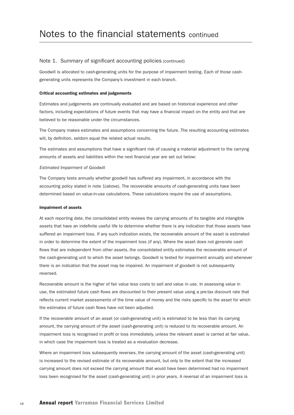Goodwill is allocated to cash-generating units for the purpose of impairment testing. Each of those cashgenerating units represents the Company's investment in each branch.

#### Critical accounting estimates and judgements

Estimates and judgements are continually evaluated and are based on historical experience and other factors, including expectations of future events that may have a financial impact on the entity and that are believed to be reasonable under the circumstances.

The Company makes estimates and assumptions concerning the future. The resulting accounting estimates will, by definition, seldom equal the related actual results.

The estimates and assumptions that have a significant risk of causing a material adjustment to the carrying amounts of assets and liabilities within the next financial year are set out below:

#### Estimated Impairment of Goodwill

The Company tests annually whether goodwill has suffered any impairment, in accordance with the accounting policy stated in note 1(above). The recoverable amounts of cash-generating units have been determined based on value-in-use calculations. These calculations require the use of assumptions.

#### Impairment of assets

At each reporting date, the consolidated entity reviews the carrying amounts of its tangible and intangible assets that have an indefinite useful life to determine whether there is any indication that those assets have suffered an impairment loss. If any such indication exists, the recoverable amount of the asset is estimated in order to determine the extent of the impairment loss (if any). Where the asset does not generate cash flows that are independent from other assets, the consolidated entity estimates the recoverable amount of the cash-generating unit to which the asset belongs. Goodwill is tested for impairment annually and whenever there is an indication that the asset may be impaired. An impairment of goodwill is not subsequently reversed.

Recoverable amount is the higher of fair value less costs to sell and value in use. In assessing value in use, the estimated future cash flows are discounted to their present value using a pre-tax discount rate that reflects current market assessments of the time value of money and the risks specific to the asset for which the estimates of future cash flows have not been adjusted.

If the recoverable amount of an asset (or cash-generating unit) is estimated to be less than its carrying amount, the carrying amount of the asset (cash-generating unit) is reduced to its recoverable amount. An impairment loss is recognised in profit or loss immediately, unless the relevant asset is carried at fair value, in which case the impairment loss is treated as a revaluation decrease.

Where an impairment loss subsequently reverses, the carrying amount of the asset (cash-generating unit) is increased to the revised estimate of its recoverable amount, but only to the extent that the increased carrying amount does not exceed the carrying amount that would have been determined had no impairment loss been recognised for the asset (cash-generating unit) in prior years. A reversal of an impairment loss is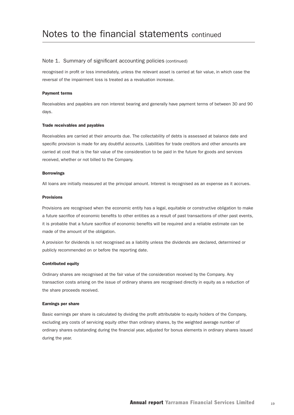recognised in profit or loss immediately, unless the relevant asset is carried at fair value, in which case the reversal of the impairment loss is treated as a revaluation increase.

#### Payment terms

Receivables and payables are non interest bearing and generally have payment terms of between 30 and 90 days.

#### Trade receivables and payables

Receivables are carried at their amounts due. The collectability of debts is assessed at balance date and specific provision is made for any doubtful accounts. Liabilities for trade creditors and other amounts are carried at cost that is the fair value of the consideration to be paid in the future for goods and services received, whether or not billed to the Company.

#### Borrowings

All loans are initially measured at the principal amount. Interest is recognised as an expense as it accrues.

#### **Provisions**

Provisions are recognised when the economic entity has a legal, equitable or constructive obligation to make a future sacrifice of economic benefits to other entities as a result of past transactions of other past events, it is probable that a future sacrifice of economic benefits will be required and a reliable estimate can be made of the amount of the obligation.

A provision for dividends is not recognised as a liability unless the dividends are declared, determined or publicly recommended on or before the reporting date.

#### Contributed equity

Ordinary shares are recognised at the fair value of the consideration received by the Company. Any transaction costs arising on the issue of ordinary shares are recognised directly in equity as a reduction of the share proceeds received.

#### Earnings per share

Basic earnings per share is calculated by dividing the profit attributable to equity holders of the Company, excluding any costs of servicing equity other than ordinary shares, by the weighted average number of ordinary shares outstanding during the financial year, adjusted for bonus elements in ordinary shares issued during the year.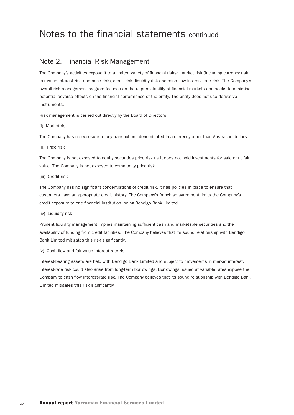### Note 2. Financial Risk Management

The Company's activities expose it to a limited variety of financial risks: market risk (including currency risk, fair value interest risk and price risk), credit risk, liquidity risk and cash flow interest rate risk. The Company's overall risk management program focuses on the unpredictability of financial markets and seeks to minimise potential adverse effects on the financial performance of the entity. The entity does not use derivative instruments.

Risk management is carried out directly by the Board of Directors.

(i) Market risk

The Company has no exposure to any transactions denominated in a currency other than Australian dollars.

(ii) Price risk

The Company is not exposed to equity securities price risk as it does not hold investments for sale or at fair value. The Company is not exposed to commodity price risk.

(iii) Credit risk

The Company has no significant concentrations of credit risk. It has policies in place to ensure that customers have an appropriate credit history. The Company's franchise agreement limits the Company's credit exposure to one financial institution, being Bendigo Bank Limited.

(iv) Liquidity risk

Prudent liquidity management implies maintaining sufficient cash and marketable securities and the availability of funding from credit facilities. The Company believes that its sound relationship with Bendigo Bank Limited mitigates this risk significantly.

(v) Cash flow and fair value interest rate risk

Interest-bearing assets are held with Bendigo Bank Limited and subject to movements in market interest. Interest-rate risk could also arise from long-term borrowings. Borrowings issued at variable rates expose the Company to cash flow interest-rate risk. The Company believes that its sound relationship with Bendigo Bank Limited mitigates this risk significantly.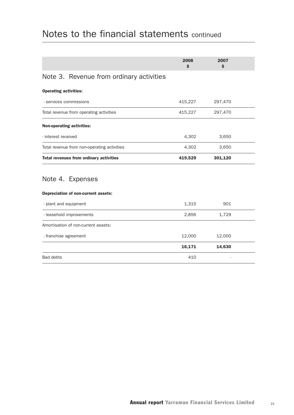|                                                | 2008<br>\$ | 2007<br>\$ |
|------------------------------------------------|------------|------------|
| Note 3. Revenue from ordinary activities       |            |            |
| <b>Operating activities:</b>                   |            |            |
| - services commissions                         | 415,227    | 297,470    |
| Total revenue from operating activities        | 415,227    | 297,470    |
| <b>Non-operating activities:</b>               |            |            |
| - interest received                            | 4,302      | 3,650      |
| Total revenue from non-operating activities    | 4,302      | 3,650      |
| <b>Total revenues from ordinary activities</b> | 419,529    | 301,120    |
| Note 4. Expenses                               |            |            |
| Depreciation of non-current assets:            |            |            |
| - plant and equipment                          | 1,315      | 901        |
| - leasehold improvements                       | 2,856      | 1,729      |
| Amortisation of non-current assets:            |            |            |
| - franchise agreement                          | 12,000     | 12,000     |
|                                                | 16,171     | 14,630     |
| <b>Bad debts</b>                               | 410        |            |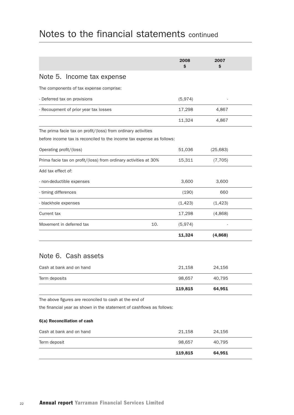|                                                                       |     | 2008<br>\$ | 2007<br>\$ |  |
|-----------------------------------------------------------------------|-----|------------|------------|--|
| Note 5. Income tax expense                                            |     |            |            |  |
| The components of tax expense comprise:                               |     |            |            |  |
| - Deferred tax on provisions                                          |     | (5, 974)   |            |  |
| - Recoupment of prior year tax losses                                 |     | 17,298     | 4,867      |  |
|                                                                       |     | 11,324     | 4,867      |  |
| The prima facie tax on profit/(loss) from ordinary activities         |     |            |            |  |
| before income tax is reconciled to the income tax expense as follows: |     |            |            |  |
| Operating profit/(loss)                                               |     | 51,036     | (25, 683)  |  |
| Prima facie tax on profit/(loss) from ordinary activities at 30%      |     | 15,311     | (7, 705)   |  |
| Add tax effect of:                                                    |     |            |            |  |
| - non-deductible expenses                                             |     | 3,600      | 3,600      |  |
| - timing differences                                                  |     | (190)      | 660        |  |
| - blackhole expenses                                                  |     | (1, 423)   | (1, 423)   |  |
| Current tax                                                           |     | 17,298     | (4,868)    |  |
| Movement in deferred tax                                              | 10. | (5, 974)   |            |  |
|                                                                       |     | 11,324     | (4,868)    |  |
| Note 6. Cash assets                                                   |     |            |            |  |

|                          | 119,815 | 64,951 |  |
|--------------------------|---------|--------|--|
| Term deposits            | 98.657  | 40.795 |  |
| Cash at bank and on hand | 21.158  | 24.156 |  |

The above figures are reconciled to cash at the end of

the financial year as shown in the statement of cashflows as follows:

#### 6(a) Reconciliation of cash

|                          | 119,815 | 64.951 |  |
|--------------------------|---------|--------|--|
| Term deposit             | 98.657  | 40.795 |  |
| Cash at bank and on hand | 21.158  | 24.156 |  |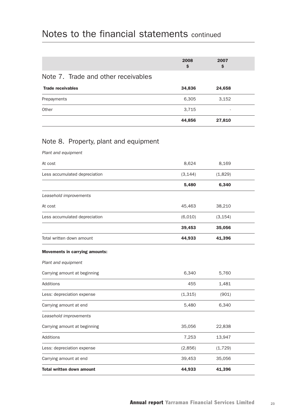|                                     | 2008<br>\$ | 2007<br>\$ |  |
|-------------------------------------|------------|------------|--|
| Note 7. Trade and other receivables |            |            |  |
| <b>Trade receivables</b>            | 34,836     | 24,658     |  |
| Prepayments                         | 6,305      | 3,152      |  |
| Other                               | 3,715      | ٠          |  |
|                                     | 44,856     | 27,810     |  |

# Note 8. Property, plant and equipment

| Plant and equipment                   |          |          |  |
|---------------------------------------|----------|----------|--|
| At cost                               | 8,624    | 8,169    |  |
| Less accumulated depreciation         | (3, 144) | (1,829)  |  |
|                                       | 5,480    | 6,340    |  |
| Leasehold improvements                |          |          |  |
| At cost                               | 45,463   | 38,210   |  |
| Less accumulated depreciation         | (6,010)  | (3, 154) |  |
|                                       | 39,453   | 35,056   |  |
| Total written down amount             | 44,933   | 41,396   |  |
| <b>Movements in carrying amounts:</b> |          |          |  |
| Plant and equipment                   |          |          |  |
| Carrying amount at beginning          | 6,340    | 5,760    |  |
| Additions                             | 455      | 1,481    |  |
| Less: depreciation expense            | (1,315)  | (901)    |  |
| Carrying amount at end                | 5,480    | 6,340    |  |
| Leasehold improvements                |          |          |  |
| Carrying amount at beginning          | 35,056   | 22,838   |  |
| Additions                             | 7,253    | 13,947   |  |
| Less: depreciation expense            | (2,856)  | (1, 729) |  |
| Carrying amount at end                | 39,453   | 35,056   |  |
| <b>Total written down amount</b>      | 44,933   | 41,396   |  |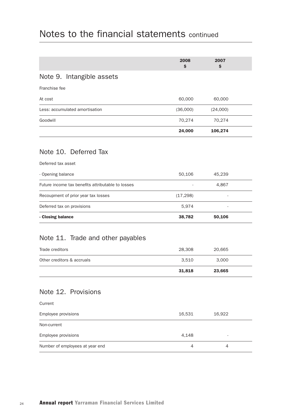|                                                   | 2008<br>\$ | 2007<br>Ś. |  |
|---------------------------------------------------|------------|------------|--|
| Note 9. Intangible assets                         |            |            |  |
| Franchise fee                                     |            |            |  |
| At cost                                           | 60,000     | 60,000     |  |
| Less: accumulated amortisation                    | (36,000)   | (24,000)   |  |
| Goodwill                                          | 70,274     | 70,274     |  |
|                                                   | 24,000     | 106,274    |  |
| Note 10. Deferred Tax                             |            |            |  |
| Deferred tax asset                                |            |            |  |
| - Opening balance                                 | 50,106     | 45,239     |  |
| Future income tax benefits attributable to losses |            | 4,867      |  |
| Recoupment of prior year tax losses               | (17, 298)  |            |  |
| Deferred tax on provisions                        | 5,974      |            |  |
| - Closing balance                                 | 38,782     | 50,106     |  |
| Note 11. Trade and other payables                 |            |            |  |
| Trade creditors                                   | 28,308     | 20,665     |  |
| Other creditors & accruals                        | 3,510      | 3,000      |  |
|                                                   | 31,818     | 23,665     |  |
| Note 12. Provisions                               |            |            |  |
| Current                                           |            |            |  |
| Employee provisions                               | 16,531     | 16,922     |  |
| Non-current                                       |            |            |  |
| Employee provisions                               | 4,148      |            |  |
| Number of employees at year end                   | 4          | 4          |  |
|                                                   |            |            |  |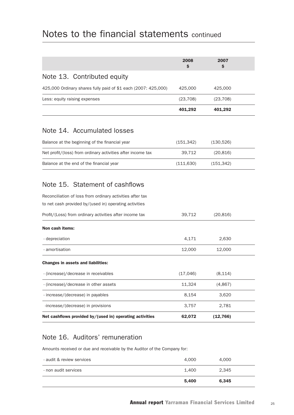|                                                                | 2008<br>\$ | 2007<br>Ş |  |
|----------------------------------------------------------------|------------|-----------|--|
| Note 13. Contributed equity                                    |            |           |  |
| 425,000 Ordinary shares fully paid of \$1 each (2007: 425,000) | 425,000    | 425,000   |  |
| Less: equity raising expenses                                  | (23, 708)  | (23, 708) |  |
|                                                                | 401,292    | 401.292   |  |

# Note 14. Accumulated losses

| Balance at the beginning of the financial year              | (151, 342) | (130,526) |  |
|-------------------------------------------------------------|------------|-----------|--|
| Net profit/(loss) from ordinary activities after income tax | 39.712     | (20, 816) |  |
| Balance at the end of the financial year                    | (111, 630) | (151.342) |  |

# Note 15. Statement of cashflows

| Reconciliation of loss from ordinary activities after tax |          |           |  |
|-----------------------------------------------------------|----------|-----------|--|
| to net cash provided by/(used in) operating activities    |          |           |  |
| Profit/(Loss) from ordinary activities after income tax   | 39,712   | (20, 816) |  |
| Non cash items:                                           |          |           |  |
| - depreciation                                            | 4,171    | 2,630     |  |
| - amortisation                                            | 12,000   | 12,000    |  |
| <b>Changes in assets and liabilities:</b>                 |          |           |  |
| - (increase)/decrease in receivables                      | (17,046) | (8, 114)  |  |
| - (increase)/decrease in other assets                     | 11,324   | (4,867)   |  |
| - increase/(decrease) in payables                         | 8,154    | 3,620     |  |
| -increase/(decrease) in provisions                        | 3,757    | 2,781     |  |
| Net cashflows provided by/(used in) operating activities  | 62,072   | (12, 766) |  |

# Note 16. Auditors' remuneration

Amounts received or due and receivable by the Auditor of the Company for:

|                           | 5,400 | 6.345 |
|---------------------------|-------|-------|
| - non audit services      | 1.400 | 2.345 |
| - audit & review services | 4.000 | 4.000 |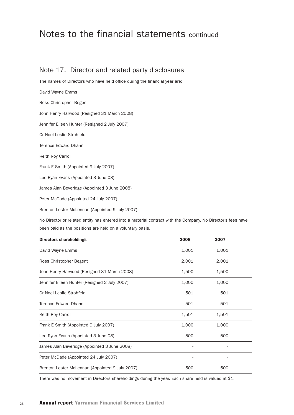## Note 17. Director and related party disclosures

The names of Directors who have held office during the financial year are:

David Wayne Emms Ross Christopher Begent John Henry Harwood (Resigned 31 March 2008) Jennifer Eileen Hunter (Resigned 2 July 2007) Cr Noel Leslie Strohfeld Terence Edward Dhann Keith Roy Carroll Frank E Smith (Appointed 9 July 2007) Lee Ryan Evans (Appointed 3 June 08) James Alan Beveridge (Appointed 3 June 2008) Peter McDade (Appointed 24 July 2007) Brenton Lester McLennan (Appointed 9 July 2007)

No Director or related entity has entered into a material contract with the Company. No Director's fees have been paid as the positions are held on a voluntary basis.

| <b>Directors shareholdings</b>                  | 2008  | 2007  |  |
|-------------------------------------------------|-------|-------|--|
| David Wayne Emms                                | 1,001 | 1,001 |  |
| Ross Christopher Begent                         | 2,001 | 2,001 |  |
| John Henry Harwood (Resigned 31 March 2008)     | 1,500 | 1,500 |  |
| Jennifer Eileen Hunter (Resigned 2 July 2007)   | 1,000 | 1,000 |  |
| Cr Noel Leslie Strohfeld                        | 501   | 501   |  |
| Terence Edward Dhann                            | 501   | 501   |  |
| Keith Roy Carroll                               | 1,501 | 1,501 |  |
| Frank E Smith (Appointed 9 July 2007)           | 1,000 | 1,000 |  |
| Lee Ryan Evans (Appointed 3 June 08)            | 500   | 500   |  |
| James Alan Beveridge (Appointed 3 June 2008)    |       |       |  |
| Peter McDade (Appointed 24 July 2007)           |       |       |  |
| Brenton Lester McLennan (Appointed 9 July 2007) | 500   | 500   |  |

There was no movement in Directors shareholdings during the year. Each share held is valued at \$1.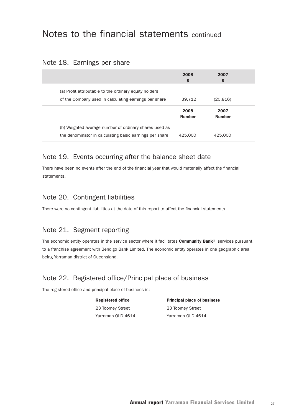## Note 18. Earnings per share

|                                                                                                                 | 2008<br>\$            | 2007<br>\$            |  |
|-----------------------------------------------------------------------------------------------------------------|-----------------------|-----------------------|--|
| (a) Profit attributable to the ordinary equity holders<br>of the Company used in calculating earnings per share | 39,712                | (20, 816)             |  |
|                                                                                                                 |                       |                       |  |
|                                                                                                                 | 2008<br><b>Number</b> | 2007<br><b>Number</b> |  |

# Note 19. Events occurring after the balance sheet date

There have been no events after the end of the financial year that would materially affect the financial statements.

## Note 20. Contingent liabilities

There were no contingent liabilities at the date of this report to affect the financial statements.

# Note 21. Segment reporting

The economic entity operates in the service sector where it facilitates Community Bank® services pursuant to a franchise agreement with Bendigo Bank Limited. The economic entity operates in one geographic area being Yarraman district of Queensland.

# Note 22. Registered office/Principal place of business

The registered office and principal place of business is:

# 23 Toomey Street 23 Toomey Street

Registered office **Principal place of business** Yarraman QLD 4614 Yarraman QLD 4614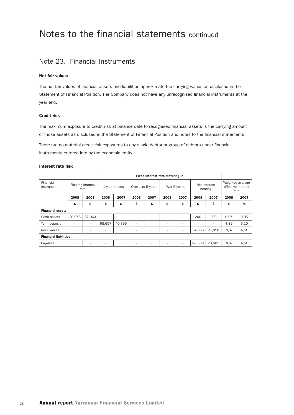## Note 23. Financial Instruments

#### Net fair values

The net fair values of financial assets and liabilities approximate the carrying values as disclosed in the Statement of Financial Position. The Company does not have any unrecognised financial instruments at the year end.

#### Credit risk

The maximum exposure to credit risk at balance date to recognised financial assets is the carrying amount of those assets as disclosed in the Statement of Financial Position and notes to the financial statements.

There are no material credit risk exposures to any single debtor or group of debtors under financial instruments entered into by the economic entity.

#### Interest rate risk

|                              |                           |        | Fixed interest rate maturing in |                          |                   |                          |                          |        |                          |        |                                                |      |
|------------------------------|---------------------------|--------|---------------------------------|--------------------------|-------------------|--------------------------|--------------------------|--------|--------------------------|--------|------------------------------------------------|------|
| Financial<br>instrument      | Floating interest<br>rate |        | 1 year or less                  |                          | Over 1 to 5 years |                          | Over 5 years             |        | Non interest<br>bearing  |        | Weighted average<br>effective interest<br>rate |      |
|                              | 2008                      | 2007   | 2008                            | 2007                     | 2008              | 2007                     | 2008                     | 2007   | 2008                     | 2007   | 2008                                           | 2007 |
|                              | \$                        | \$     | \$                              | \$                       | \$                | \$                       | \$                       | \$     | \$                       | \$     | %                                              | %    |
| <b>Financial assets</b>      |                           |        |                                 |                          |                   |                          |                          |        |                          |        |                                                |      |
| Cash assets                  | 20.958                    | 27.063 | $\overline{\phantom{a}}$        | ۰                        | ٠                 | $\overline{\phantom{a}}$ | ٠                        | ٠      | 200                      | 200    | 0.05                                           | 0.05 |
| Term deposit                 | ٠                         | ٠      | 98,657                          | 40.795                   | ٠                 | $\overline{\phantom{a}}$ | $\overline{\phantom{a}}$ | ٠      | $\overline{\phantom{a}}$ | ٠      | 4.89                                           | 6.10 |
| Receivables                  | $\overline{\phantom{a}}$  | ٠      | $\overline{\phantom{a}}$        | $\overline{\phantom{a}}$ | ۰                 | $\overline{\phantom{a}}$ | $\overline{\phantom{a}}$ | $\sim$ | 34.836                   | 27,810 | N/A                                            | N/A  |
| <b>Financial liabilities</b> |                           |        |                                 |                          |                   |                          |                          |        |                          |        |                                                |      |
| Payables                     | $\overline{\phantom{a}}$  | ٠      | $\overline{\phantom{a}}$        | $\overline{\phantom{a}}$ | ٠                 | $\overline{\phantom{a}}$ | ٠                        | $\sim$ | 28,308                   | 23,665 | N/A                                            | N/A  |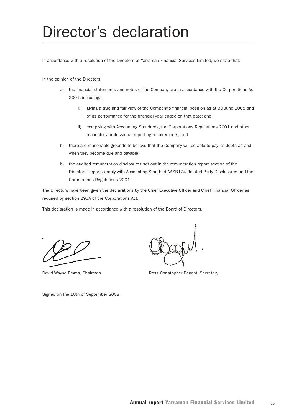# Director's declaration

In accordance with a resolution of the Directors of Yarraman Financial Services Limited, we state that:

In the opinion of the Directors:

- a) the financial statements and notes of the Company are in accordance with the Corporations Act 2001, including:
	- i) giving a true and fair view of the Company's financial position as at 30 June 2008 and of its performance for the financial year ended on that date; and
	- ii) complying with Accounting Standards, the Corporations Regulations 2001 and other mandatory professional reporting requirements; and
- b) there are reasonable grounds to believe that the Company will be able to pay its debts as and when they become due and payable.
- b) the audited remuneration disclosures set out in the remuneration report section of the Directors' report comply with Accounting Standard AASB174 Related Party Disclosures and the Corporations Regulations 2001.

The Directors have been given the declarations by the Chief Executive Officer and Chief Financial Officer as required by section 295A of the Corporations Act.

This declaration is made in accordance with a resolution of the Board of Directors.

David Wayne Emms, Chairman **Ross Christopher Begent, Secretary** 

Signed on the 18th of September 2008.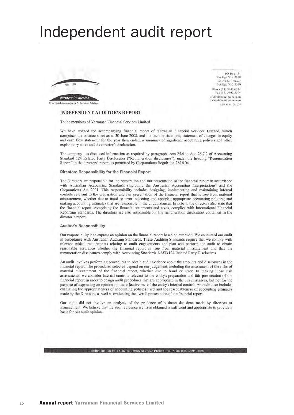# Independent audit report



PO Box 454<br>Bendigo VIC 3552 61-65 Bull Street Bendigo VIC 3550 Phone (03) 5443 0344 Fax (03) 5443 5304 afs@afsbendigo.com.au<br>www.afsbendigo.com.au ABN 51.061.795-337

#### **INDEPENDENT AUDITOR'S REPORT**

To the members of Yarraman Financial Services Limited

We have audited the accompanying financial report of Yarraman Financial Services Limited, which comprises the balance sheet as at 30 June 2008, and the income statement, statement of changes in equity and cash flow statement for the year then ended, a summary of significant accounting policies and other explanatory notes and the director's declaration.

The company has disclosed information as required by paragraphs Aus 25.4 to Aus 25.7.2 of Accounting Standard 124 Related Party Disclosures ("Remuneration disclosures"), under the heading "Remuneration Report" in the directors' report, as permitted by Corporations Regulation 2M.6.04.

#### Directors Responsibility for the Financial Report

The Directors are responsible for the preparation and fair presentation of the financial report in accordance with Australian Accounting Standards (including the Australian Accounting Interpretations) and the Corporations Act 2001. This responsibility includes designing, implementing and maintaining internal controls relevant to the preparation and fair presentation of the financial report that is free from material misstatement, whether due to fraud or error; selecting and applying appropriate accounting policies; and making accounting estimates that are reasonable in the circumstances. In note 1, the directors also state that the financial report, comprising the financial statements and notes, complies with International Financial Reporting Standards. The directors are also responsible for the remuneration disclosures contained in the director's report.

#### **Auditor's Responsibility**

Our responsibility is to express an opinion on the financial report based on our audit. We conducted our audit in accordance with Australian Auditing Standards. These Auditing Standards require that we comply with relevant ethical requirements relating to audit engagements and plan and perform the audit to obtain reasonable assurance whether the financial report is free from material misstatement and that the remuneration disclosures comply with Accounting Standards AASB 124 Related Party Disclosures.

An audit involves performing procedures to obtain audit evidence about the amounts and disclosures in the financial report. The procedures selected depend on our judgement, including the assessment of the risks of material misstatement of the financial report, whether due to fraud or error. In making those risk assessments, we consider internal controls relevant to the entity's preparation and fair presentation of the financial report in order to design audit procedures that are appropriate in the circumstances, but not for the purpose of expressing an opinion on the effectiveness of the entity's internal control. An audit also includes evaluating the appropriateness of accounting policies used and the reasonableness of accounting estimates made by the Directors, as well as evaluating the overall presentation of the financial report.

Our audit did not involve an analysis of the prudence of business decisions made by directors or management. We believe that the audit evidence we have obtained is sufficient and appropriate to provide a basis for our audit opinion.

Liability limited by a scheme approved under Professional Standards Legislation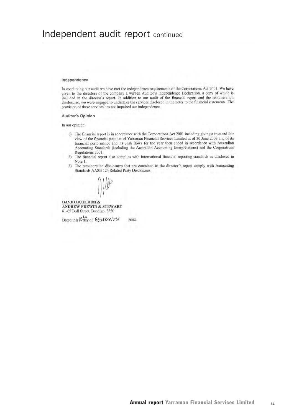#### Independence

In conducting our audit we have met the independence requirements of the Corporations Act 2001. We have given to the directors of the company a written Auditor's Independence Declaration, a copy of which is included in the director's report. In addition to our audit of the financial report and the remuneration disclosures, we were engaged to undertake the services disclosed in the notes to the financial statements. The provision of these services has not impaired our independence.

#### Auditor's Opinion

In our opinion:

- 1) The financial report is in accordance with the Corporations Act 2001 including giving a true and fair view of the financial position of Yarraman Financial Services Limited as of 30 June 2008 and of its financial performance and its cash flows for the year then ended in accordance with Australian Accounting Standards (including the Australian Accounting Interpretations) and the Corporations Regulations 2001.
- 2) The financial report also complies with International financial reporting standards as disclosed in Note 1.
- The remuneration disclosures that are contained in the director's report comply with Accounting  $3)$ Standards AASB 124 Related Party Disclosures.

**DAVID HUTCHINGS ANDREW FREWIN & STEWART** 61-65 Bull Street, Bendigo, 3550

Dated this 18th of September 2008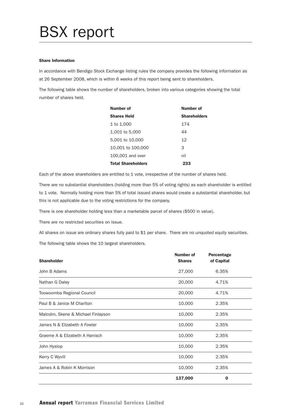#### Share Information

In accordance with Bendigo Stock Exchange listing rules the company provides the following information as at 26 September 2008, which is within 6 weeks of this report being sent to shareholders.

The following table shows the number of shareholders, broken into various categories showing the total number of shares held.

| Number of                 | Number of           |
|---------------------------|---------------------|
| <b>Shares Held</b>        | <b>Shareholders</b> |
| 1 to 1,000                | 174                 |
| 1,001 to 5,000            | 44                  |
| 5,001 to 10,000           | 12                  |
| 10,001 to 100,000         | 3                   |
| 100,001 and over          | nil                 |
| <b>Total Shareholders</b> | 233                 |

Each of the above shareholders are entitled to 1 vote, irrespective of the number of shares held.

There are no substantial shareholders (holding more than 5% of voting rights) as each shareholder is entitled to 1 vote. Normally holding more than 5% of total issued shares would create a substantial shareholder, but this is not applicable due to the voting restrictions for the company.

There is one shareholder holding less than a marketable parcel of shares (\$500 in value).

There are no restricted securities on issue.

All shares on issue are ordinary shares fully paid to \$1 per share. There are no unquoted equity securities.

The following table shows the 10 largest shareholders.

| <b>Shareholder</b>                 | <b>Number of</b><br><b>Shares</b> | Percentage<br>of Capital |  |
|------------------------------------|-----------------------------------|--------------------------|--|
| John B Adams                       | 27,000                            | 6.35%                    |  |
| Nathan G Daley                     | 20,000                            | 4.71%                    |  |
| Toowoomba Regional Council         | 20,000                            | 4.71%                    |  |
| Paul B & Janice M Charlton         | 10,000                            | 2.35%                    |  |
| Malcolm, Skene & Michael Finlayson | 10,000                            | 2.35%                    |  |
| James N & Elizabeth A Fowler       | 10,000                            | 2.35%                    |  |
| Graeme A & Elizabeth A Hanisch     | 10,000                            | 2.35%                    |  |
| John Hyslop                        | 10,000                            | 2.35%                    |  |
| Kerry C Wyvill                     | 10,000                            | 2.35%                    |  |
| James A & Robin K Morrison         | 10,000                            | 2.35%                    |  |
|                                    | 137,000                           | $\bf{0}$                 |  |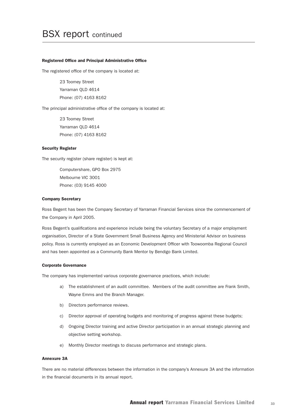#### Registered Office and Principal Administrative Office

The registered office of the company is located at:

23 Toomey Street Yarraman QLD 4614 Phone: (07) 4163 8162

The principal administrative office of the company is located at:

23 Toomey Street Yarraman QLD 4614 Phone: (07) 4163 8162

#### Security Register

The security register (share register) is kept at:

Computershare, GPO Box 2975 Melbourne VIC 3001 Phone: (03) 9145 4000

#### Company Secretary

Ross Begent has been the Company Secretary of Yarraman Financial Services since the commencement of the Company in April 2005.

Ross Begent's qualifications and experience include being the voluntary Secretary of a major employment organisation, Director of a State Government Small Business Agency and Ministerial Advisor on business policy. Ross is currently employed as an Economic Development Officer with Toowoomba Regional Council and has been appointed as a Community Bank Mentor by Bendigo Bank Limited.

#### Corporate Governance

The company has implemented various corporate governance practices, which include:

- a) The establishment of an audit committee. Members of the audit committee are Frank Smith, Wayne Emms and the Branch Manager.
- b) Directors performance reviews.
- c) Director approval of operating budgets and monitoring of progress against these budgets;
- d) Ongoing Director training and active Director participation in an annual strategic planning and objective setting workshop.
- e) Monthly Director meetings to discuss performance and strategic plans.

#### Annexure 3A

There are no material differences between the information in the company's Annexure 3A and the information in the financial documents in its annual report.